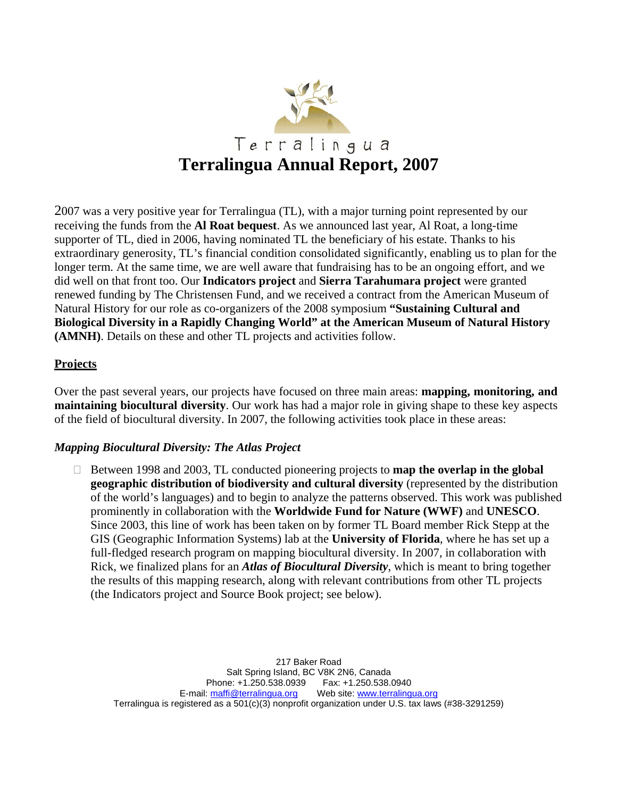

2007 was a very positive year for Terralingua (TL), with a major turning point represented by our receiving the funds from the **Al Roat bequest**. As we announced last year, Al Roat, a long-time supporter of TL, died in 2006, having nominated TL the beneficiary of his estate. Thanks to his extraordinary generosity, TL's financial condition consolidated significantly, enabling us to plan for the longer term. At the same time, we are well aware that fundraising has to be an ongoing effort, and we did well on that front too. Our **Indicators project** and **Sierra Tarahumara project** were granted renewed funding by The Christensen Fund, and we received a contract from the American Museum of Natural History for our role as co-organizers of the 2008 symposium **"Sustaining Cultural and Biological Diversity in a Rapidly Changing World" at the American Museum of Natural History (AMNH)**. Details on these and other TL projects and activities follow.

### **Projects**

Over the past several years, our projects have focused on three main areas: **mapping, monitoring, and maintaining biocultural diversity**. Our work has had a major role in giving shape to these key aspects of the field of biocultural diversity. In 2007, the following activities took place in these areas:

#### *Mapping Biocultural Diversity: The Atlas Project*

 Between 1998 and 2003, TL conducted pioneering projects to **map the overlap in the global geographic distribution of biodiversity and cultural diversity** (represented by the distribution of the world's languages) and to begin to analyze the patterns observed. This work was published prominently in collaboration with the **Worldwide Fund for Nature (WWF)** and **UNESCO**. Since 2003, this line of work has been taken on by former TL Board member Rick Stepp at the GIS (Geographic Information Systems) lab at the **University of Florida**, where he has set up a full-fledged research program on mapping biocultural diversity. In 2007, in collaboration with Rick, we finalized plans for an *Atlas of Biocultural Diversity*, which is meant to bring together the results of this mapping research, along with relevant contributions from other TL projects (the Indicators project and Source Book project; see below).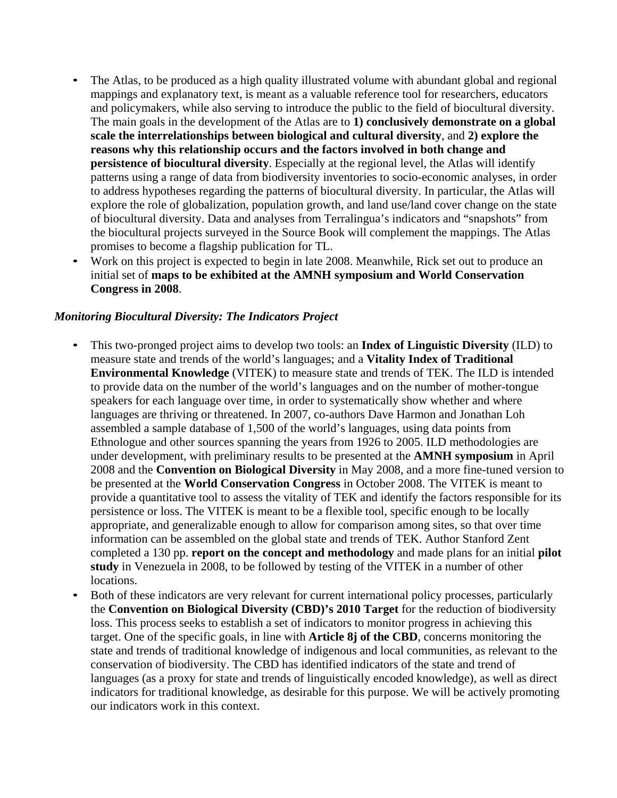- The Atlas, to be produced as a high quality illustrated volume with abundant global and regional mappings and explanatory text, is meant as a valuable reference tool for researchers, educators and policymakers, while also serving to introduce the public to the field of biocultural diversity. The main goals in the development of the Atlas are to **1) conclusively demonstrate on a global scale the interrelationships between biological and cultural diversity**, and **2) explore the reasons why this relationship occurs and the factors involved in both change and persistence of biocultural diversity**. Especially at the regional level, the Atlas will identify patterns using a range of data from biodiversity inventories to socio-economic analyses, in order to address hypotheses regarding the patterns of biocultural diversity. In particular, the Atlas will explore the role of globalization, population growth, and land use/land cover change on the state of biocultural diversity. Data and analyses from Terralingua's indicators and "snapshots" from the biocultural projects surveyed in the Source Book will complement the mappings. The Atlas promises to become a flagship publication for TL.
- Work on this project is expected to begin in late 2008. Meanwhile, Rick set out to produce an initial set of **maps to be exhibited at the AMNH symposium and World Conservation Congress in 2008**.

#### *Monitoring Biocultural Diversity: The Indicators Project*

- This two-pronged project aims to develop two tools: an **Index of Linguistic Diversity** (ILD) to measure state and trends of the world's languages; and a **Vitality Index of Traditional Environmental Knowledge** (VITEK) to measure state and trends of TEK. The ILD is intended to provide data on the number of the world's languages and on the number of mother-tongue speakers for each language over time, in order to systematically show whether and where languages are thriving or threatened. In 2007, co-authors Dave Harmon and Jonathan Loh assembled a sample database of 1,500 of the world's languages, using data points from Ethnologue and other sources spanning the years from 1926 to 2005. ILD methodologies are under development, with preliminary results to be presented at the **AMNH symposium** in April 2008 and the **Convention on Biological Diversity** in May 2008, and a more fine-tuned version to be presented at the **World Conservation Congress** in October 2008. The VITEK is meant to provide a quantitative tool to assess the vitality of TEK and identify the factors responsible for its persistence or loss. The VITEK is meant to be a flexible tool, specific enough to be locally appropriate, and generalizable enough to allow for comparison among sites, so that over time information can be assembled on the global state and trends of TEK. Author Stanford Zent completed a 130 pp. **report on the concept and methodology** and made plans for an initial **pilot study** in Venezuela in 2008, to be followed by testing of the VITEK in a number of other locations.
- Both of these indicators are very relevant for current international policy processes, particularly the **Convention on Biological Diversity (CBD)'s 2010 Target** for the reduction of biodiversity loss. This process seeks to establish a set of indicators to monitor progress in achieving this target. One of the specific goals, in line with **Article 8j of the CBD**, concerns monitoring the state and trends of traditional knowledge of indigenous and local communities, as relevant to the conservation of biodiversity. The CBD has identified indicators of the state and trend of languages (as a proxy for state and trends of linguistically encoded knowledge), as well as direct indicators for traditional knowledge, as desirable for this purpose. We will be actively promoting our indicators work in this context.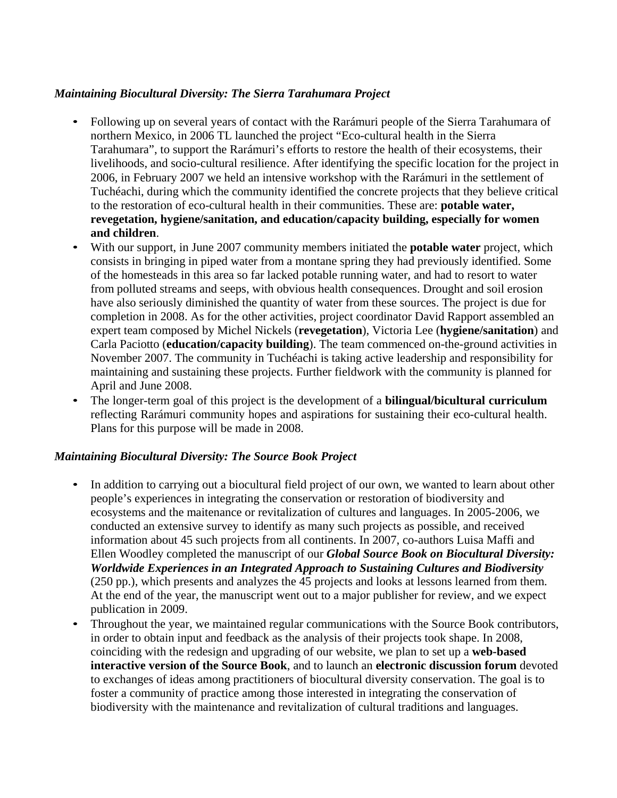# *Maintaining Biocultural Diversity: The Sierra Tarahumara Project*

- Following up on several years of contact with the Rarámuri people of the Sierra Tarahumara of northern Mexico, in 2006 TL launched the project "Eco-cultural health in the Sierra Tarahumara", to support the Rarámuri's efforts to restore the health of their ecosystems, their livelihoods, and socio-cultural resilience. After identifying the specific location for the project in 2006, in February 2007 we held an intensive workshop with the Rarámuri in the settlement of Tuchéachi, during which the community identified the concrete projects that they believe critical to the restoration of eco-cultural health in their communities. These are: **potable water, revegetation, hygiene/sanitation, and education/capacity building, especially for women and children**.
- With our support, in June 2007 community members initiated the **potable water** project, which consists in bringing in piped water from a montane spring they had previously identified. Some of the homesteads in this area so far lacked potable running water, and had to resort to water from polluted streams and seeps, with obvious health consequences. Drought and soil erosion have also seriously diminished the quantity of water from these sources. The project is due for completion in 2008. As for the other activities, project coordinator David Rapport assembled an expert team composed by Michel Nickels (**revegetation**), Victoria Lee (**hygiene/sanitation**) and Carla Paciotto (**education/capacity building**). The team commenced on-the-ground activities in November 2007. The community in Tuchéachi is taking active leadership and responsibility for maintaining and sustaining these projects. Further fieldwork with the community is planned for April and June 2008.
- The longer-term goal of this project is the development of a **bilingual/bicultural curriculum**  reflecting Rarámuri community hopes and aspirations for sustaining their eco-cultural health. Plans for this purpose will be made in 2008.

# *Maintaining Biocultural Diversity: The Source Book Project*

- In addition to carrying out a biocultural field project of our own, we wanted to learn about other people's experiences in integrating the conservation or restoration of biodiversity and ecosystems and the maitenance or revitalization of cultures and languages. In 2005-2006, we conducted an extensive survey to identify as many such projects as possible, and received information about 45 such projects from all continents. In 2007, co-authors Luisa Maffi and Ellen Woodley completed the manuscript of our *Global Source Book on Biocultural Diversity: Worldwide Experiences in an Integrated Approach to Sustaining Cultures and Biodiversity*  (250 pp.), which presents and analyzes the 45 projects and looks at lessons learned from them. At the end of the year, the manuscript went out to a major publisher for review, and we expect publication in 2009.
- Throughout the year, we maintained regular communications with the Source Book contributors, in order to obtain input and feedback as the analysis of their projects took shape. In 2008, coinciding with the redesign and upgrading of our website, we plan to set up a **web-based interactive version of the Source Book**, and to launch an **electronic discussion forum** devoted to exchanges of ideas among practitioners of biocultural diversity conservation. The goal is to foster a community of practice among those interested in integrating the conservation of biodiversity with the maintenance and revitalization of cultural traditions and languages.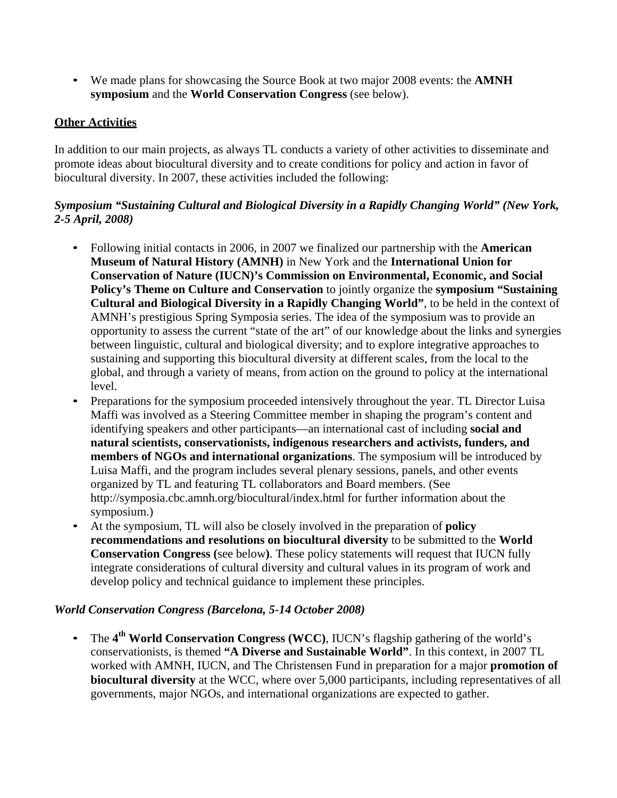• We made plans for showcasing the Source Book at two major 2008 events: the **AMNH symposium** and the **World Conservation Congress** (see below).

# **Other Activities**

In addition to our main projects, as always TL conducts a variety of other activities to disseminate and promote ideas about biocultural diversity and to create conditions for policy and action in favor of biocultural diversity. In 2007, these activities included the following:

# *Symposium "Sustaining Cultural and Biological Diversity in a Rapidly Changing World" (New York, 2-5 April, 2008)*

- Following initial contacts in 2006, in 2007 we finalized our partnership with the **American Museum of Natural History (AMNH)** in New York and the **International Union for Conservation of Nature (IUCN)'s Commission on Environmental, Economic, and Social Policy's Theme on Culture and Conservation** to jointly organize the **symposium "Sustaining Cultural and Biological Diversity in a Rapidly Changing World"**, to be held in the context of AMNH's prestigious Spring Symposia series. The idea of the symposium was to provide an opportunity to assess the current "state of the art" of our knowledge about the links and synergies between linguistic, cultural and biological diversity; and to explore integrative approaches to sustaining and supporting this biocultural diversity at different scales, from the local to the global, and through a variety of means, from action on the ground to policy at the international level.
- Preparations for the symposium proceeded intensively throughout the year. TL Director Luisa Maffi was involved as a Steering Committee member in shaping the program's content and identifying speakers and other participants—an international cast of including **social and natural scientists, conservationists, indigenous researchers and activists, funders, and members of NGOs and international organizations**. The symposium will be introduced by Luisa Maffi, and the program includes several plenary sessions, panels, and other events organized by TL and featuring TL collaborators and Board members. (Se[e](http://symposia.cbc.amnh.org/biocultural/index.html) <http://symposia.cbc.amnh.org/biocultural/index.html> for further information about the symposium.)
- At the symposium, TL will also be closely involved in the preparation of **policy recommendations and resolutions on biocultural diversity** to be submitted to the **World Conservation Congress (**see below**)**. These policy statements will request that IUCN fully integrate considerations of cultural diversity and cultural values in its program of work and develop policy and technical guidance to implement these principles.

# *World Conservation Congress (Barcelona, 5-14 October 2008)*

• The **4th World Conservation Congress (WCC)**, IUCN's flagship gathering of the world's conservationists, is themed **"A Diverse and Sustainable World"**. In this context, in 2007 TL worked with AMNH, IUCN, and The Christensen Fund in preparation for a major **promotion of biocultural diversity** at the WCC, where over 5,000 participants, including representatives of all governments, major NGOs, and international organizations are expected to gather.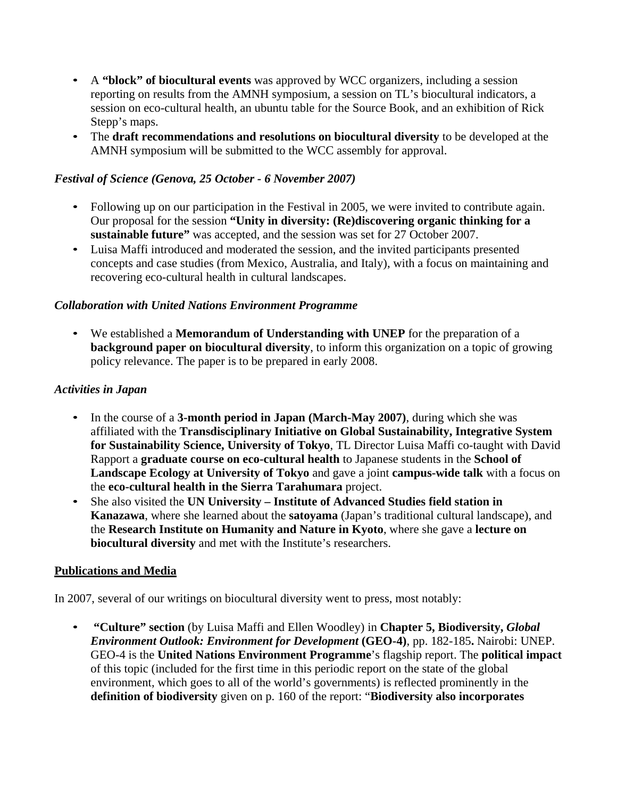- A **"block" of biocultural events** was approved by WCC organizers, including a session reporting on results from the AMNH symposium, a session on TL's biocultural indicators, a session on eco-cultural health, an ubuntu table for the Source Book, and an exhibition of Rick Stepp's maps.
- The **draft recommendations and resolutions on biocultural diversity** to be developed at the AMNH symposium will be submitted to the WCC assembly for approval.

## *Festival of Science (Genova, 25 October - 6 November 2007)*

- Following up on our participation in the Festival in 2005, we were invited to contribute again. Our proposal for the session **"Unity in diversity: (Re)discovering organic thinking for a sustainable future"** was accepted, and the session was set for 27 October 2007.
- Luisa Maffi introduced and moderated the session, and the invited participants presented concepts and case studies (from Mexico, Australia, and Italy), with a focus on maintaining and recovering eco-cultural health in cultural landscapes.

### *Collaboration with United Nations Environment Programme*

• We established a **Memorandum of Understanding with UNEP** for the preparation of a **background paper on biocultural diversity**, to inform this organization on a topic of growing policy relevance. The paper is to be prepared in early 2008.

### *Activities in Japan*

- In the course of a **3-month period in Japan (March-May 2007)**, during which she was affiliated with the **Transdisciplinary Initiative on Global Sustainability, Integrative System for Sustainability Science, University of Tokyo**, TL Director Luisa Maffi co-taught with David Rapport a **graduate course on eco-cultural health** to Japanese students in the **School of Landscape Ecology at University of Tokyo** and gave a joint **campus-wide talk** with a focus on the **eco-cultural health in the Sierra Tarahumara** project.
- She also visited the **UN University – Institute of Advanced Studies field station in Kanazawa**, where she learned about the **satoyama** (Japan's traditional cultural landscape), and the **Research Institute on Humanity and Nature in Kyoto**, where she gave a **lecture on biocultural diversity** and met with the Institute's researchers.

#### **Publications and Media**

In 2007, several of our writings on biocultural diversity went to press, most notably:

• **"Culture" section** (by Luisa Maffi and Ellen Woodley) in **Chapter 5, Biodiversity,** *Global Environment Outlook: Environment for Development* **(GEO-4)**, pp. 182-185**.** Nairobi: UNEP. GEO-4 is the **United Nations Environment Programme**'s flagship report. The **political impact**  of this topic (included for the first time in this periodic report on the state of the global environment, which goes to all of the world's governments) is reflected prominently in the **definition of biodiversity** given on p. 160 of the report: "**Biodiversity also incorporates**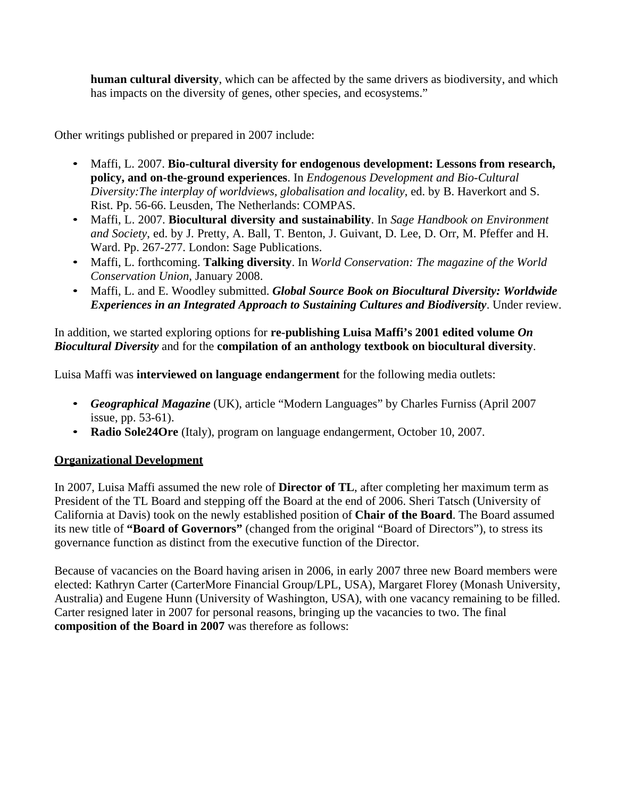**human cultural diversity**, which can be affected by the same drivers as biodiversity, and which has impacts on the diversity of genes, other species, and ecosystems."

Other writings published or prepared in 2007 include:

- Maffi, L. 2007. **Bio-cultural diversity for endogenous development: Lessons from research, policy, and on-the-ground experiences**. In *Endogenous Development and Bio-Cultural Diversity:The interplay of worldviews, globalisation and locality*, ed. by B. Haverkort and S. Rist. Pp. 56-66. Leusden, The Netherlands: COMPAS.
- Maffi, L. 2007. **Biocultural diversity and sustainability**. In *Sage Handbook on Environment and Society*, ed. by J. Pretty, A. Ball, T. Benton, J. Guivant, D. Lee, D. Orr, M. Pfeffer and H. Ward. Pp. 267-277. London: Sage Publications.
- Maffi, L. forthcoming. **Talking diversity**. In *World Conservation: The magazine of the World Conservation Union*, January 2008.
- Maffi, L. and E. Woodley submitted. *Global Source Book on Biocultural Diversity: Worldwide Experiences in an Integrated Approach to Sustaining Cultures and Biodiversity*. Under review.

In addition, we started exploring options for **re-publishing Luisa Maffi's 2001 edited volume** *On Biocultural Diversity* and for the **compilation of an anthology textbook on biocultural diversity**.

Luisa Maffi was **interviewed on language endangerment** for the following media outlets:

- *Geographical Magazine* (UK), article "Modern Languages" by Charles Furniss (April 2007 issue, pp. 53-61).
- **Radio Sole24Ore** (Italy), program on language endangerment, October 10, 2007.

# **Organizational Development**

In 2007, Luisa Maffi assumed the new role of **Director of TL**, after completing her maximum term as President of the TL Board and stepping off the Board at the end of 2006. Sheri Tatsch (University of California at Davis) took on the newly established position of **Chair of the Board**. The Board assumed its new title of **"Board of Governors"** (changed from the original "Board of Directors"), to stress its governance function as distinct from the executive function of the Director.

Because of vacancies on the Board having arisen in 2006, in early 2007 three new Board members were elected: Kathryn Carter (CarterMore Financial Group/LPL, USA), Margaret Florey (Monash University, Australia) and Eugene Hunn (University of Washington, USA), with one vacancy remaining to be filled. Carter resigned later in 2007 for personal reasons, bringing up the vacancies to two. The final **composition of the Board in 2007** was therefore as follows: